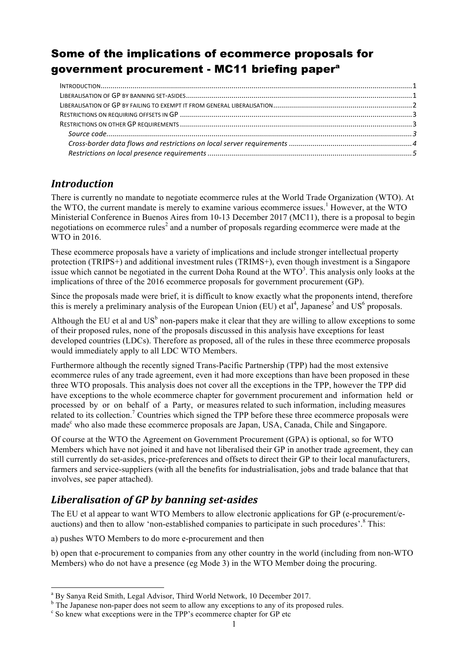# Some of the implications of ecommerce proposals for government procurement - MC11 briefing papera

### *Introduction*

There is currently no mandate to negotiate ecommerce rules at the World Trade Organization (WTO). At the WTO, the current mandate is merely to examine various ecommerce issues.<sup>1</sup> However, at the WTO Ministerial Conference in Buenos Aires from 10-13 December 2017 (MC11), there is a proposal to begin negotiations on ecommerce rules<sup>2</sup> and a number of proposals regarding ecommerce were made at the WTO in 2016.

These ecommerce proposals have a variety of implications and include stronger intellectual property protection (TRIPS+) and additional investment rules (TRIMS+), even though investment is a Singapore issue which cannot be negotiated in the current Doha Round at the  $WTO<sup>3</sup>$ . This analysis only looks at the implications of three of the 2016 ecommerce proposals for government procurement (GP).

Since the proposals made were brief, it is difficult to know exactly what the proponents intend, therefore this is merely a preliminary analysis of the European Union (EU) et al<sup>4</sup>, Japanese<sup>5</sup> and US<sup>6</sup> proposals.

Although the EU et al and  $US<sup>b</sup>$  non-papers make it clear that they are willing to allow exceptions to some of their proposed rules, none of the proposals discussed in this analysis have exceptions for least developed countries (LDCs). Therefore as proposed, all of the rules in these three ecommerce proposals would immediately apply to all LDC WTO Members.

Furthermore although the recently signed Trans-Pacific Partnership (TPP) had the most extensive ecommerce rules of any trade agreement, even it had more exceptions than have been proposed in these three WTO proposals. This analysis does not cover all the exceptions in the TPP, however the TPP did have exceptions to the whole ecommerce chapter for government procurement and information held or processed by or on behalf of a Party, or measures related to such information, including measures related to its collection.<sup>7</sup> Countries which signed the TPP before these three ecommerce proposals were made<sup>c</sup> who also made these ecommerce proposals are Japan, USA, Canada, Chile and Singapore.

Of course at the WTO the Agreement on Government Procurement (GPA) is optional, so for WTO Members which have not joined it and have not liberalised their GP in another trade agreement, they can still currently do set-asides, price-preferences and offsets to direct their GP to their local manufacturers, farmers and service-suppliers (with all the benefits for industrialisation, jobs and trade balance that that involves, see paper attached).

# *Liberalisation of GP by banning set-asides*

The EU et al appear to want WTO Members to allow electronic applications for GP (e-procurement/eauctions) and then to allow 'non-established companies to participate in such procedures'.<sup>8</sup> This:

a) pushes WTO Members to do more e-procurement and then

b) open that e-procurement to companies from any other country in the world (including from non-WTO Members) who do not have a presence (eg Mode 3) in the WTO Member doing the procuring.

<sup>&</sup>lt;sup>a</sup> By Sanya Reid Smith, Legal Advisor, Third World Network, 10 December 2017.

 $\overline{P}$  The Japanese non-paper does not seem to allow any exceptions to any of its proposed rules.  $\overline{P}$  So knew what exceptions were in the TPP's ecommerce chapter for GP etc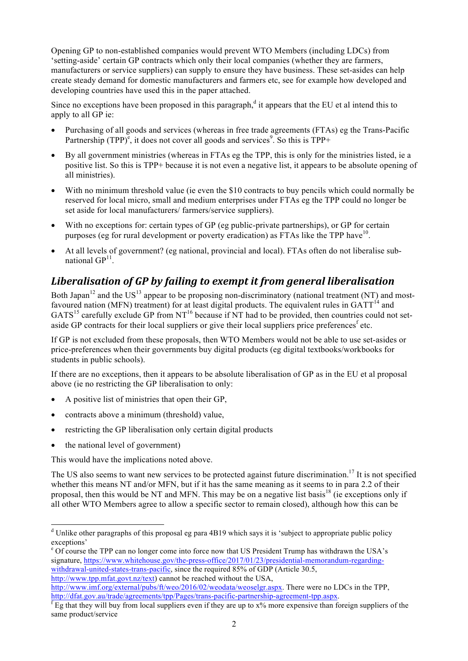Opening GP to non-established companies would prevent WTO Members (including LDCs) from 'setting-aside' certain GP contracts which only their local companies (whether they are farmers, manufacturers or service suppliers) can supply to ensure they have business. These set-asides can help create steady demand for domestic manufacturers and farmers etc, see for example how developed and developing countries have used this in the paper attached.

Since no exceptions have been proposed in this paragraph, $d$  it appears that the EU et al intend this to apply to all GP ie:

- Purchasing of all goods and services (whereas in free trade agreements (FTAs) eg the Trans-Pacific Partnership (TPP)<sup>e</sup>, it does not cover all goods and services<sup>9</sup>. So this is TPP+
- By all government ministries (whereas in FTAs eg the TPP, this is only for the ministries listed, ie a positive list. So this is TPP+ because it is not even a negative list, it appears to be absolute opening of all ministries).
- With no minimum threshold value (ie even the \$10 contracts to buy pencils which could normally be reserved for local micro, small and medium enterprises under FTAs eg the TPP could no longer be set aside for local manufacturers/ farmers/service suppliers).
- With no exceptions for: certain types of GP (eg public-private partnerships), or GP for certain purposes (eg for rural development or poverty eradication) as FTAs like the TPP have  $10<sup>10</sup>$ .
- At all levels of government? (eg national, provincial and local). FTAs often do not liberalise subnational  $GP<sup>11</sup>$ .

## Liberalisation of GP by failing to exempt it from general liberalisation

Both Japan<sup>12</sup> and the US<sup>13</sup> appear to be proposing non-discriminatory (national treatment (NT) and mostfavoured nation (MFN) treatment) for at least digital products. The equivalent rules in  $GATT<sup>14</sup>$  and  $GATS^{15}$  carefully exclude GP from NT<sup>16</sup> because if NT had to be provided, then countries could not setaside GP contracts for their local suppliers or give their local suppliers price preferences<sup>f</sup> etc.

If GP is not excluded from these proposals, then WTO Members would not be able to use set-asides or price-preferences when their governments buy digital products (eg digital textbooks/workbooks for students in public schools).

If there are no exceptions, then it appears to be absolute liberalisation of GP as in the EU et al proposal above (ie no restricting the GP liberalisation to only:

- A positive list of ministries that open their GP,
- contracts above a minimum (threshold) value,
- restricting the GP liberalisation only certain digital products
- the national level of government)

This would have the implications noted above.

The US also seems to want new services to be protected against future discrimination.<sup>17</sup> It is not specified whether this means NT and/or MFN, but if it has the same meaning as it seems to in para 2.2 of their proposal, then this would be NT and MFN. This may be on a negative list basis<sup>18</sup> (ie exceptions only if all other WTO Members agree to allow a specific sector to remain closed), although how this can be

<sup>&</sup>lt;sup>d</sup> Unlike other paragraphs of this proposal eg para 4B19 which says it is 'subject to appropriate public policy exceptions'

<sup>e</sup> Of course the TPP can no longer come into force now that US President Trump has withdrawn the USA's signature, https://www.whitehouse.gov/the-press-office/2017/01/23/presidential-memorandum-regardingwithdrawal-united-states-trans-pacific, since the required 85% of GDP (Article 30.5, http://www.tpp.mfat.govt.nz/text) cannot be reached without the USA,

http://www.imf.org/external/pubs/ft/weo/2016/02/weodata/weoselgr.aspx. There were no LDCs in the TPP,  $\frac{http://data.gov.au/trade/agreements/top/Pages/trans-pacific-partnership-agreement-tpp.aspx.$ <br> ${}<sup>f</sup>$  Eg that they will buy from local suppliers even if they are up to x% more expensive than foreign suppliers of the

same product/service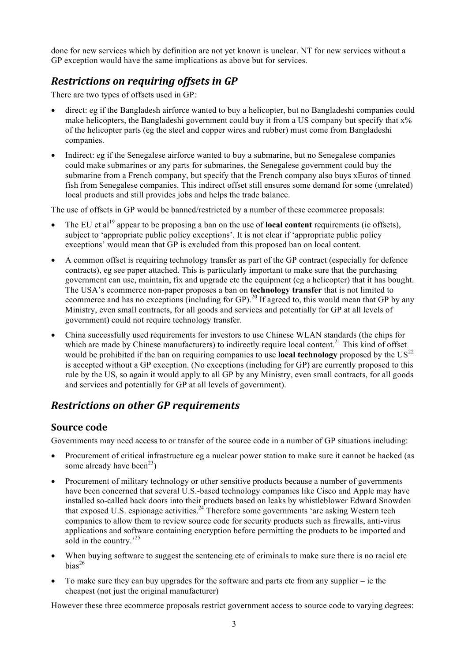done for new services which by definition are not yet known is unclear. NT for new services without a GP exception would have the same implications as above but for services.

### *Restrictions on requiring offsets in GP*

There are two types of offsets used in GP:

- direct: eg if the Bangladesh airforce wanted to buy a helicopter, but no Bangladeshi companies could make helicopters, the Bangladeshi government could buy it from a US company but specify that  $x\%$ of the helicopter parts (eg the steel and copper wires and rubber) must come from Bangladeshi companies.
- Indirect: eg if the Senegalese airforce wanted to buy a submarine, but no Senegalese companies could make submarines or any parts for submarines, the Senegalese government could buy the submarine from a French company, but specify that the French company also buys xEuros of tinned fish from Senegalese companies. This indirect offset still ensures some demand for some (unrelated) local products and still provides jobs and helps the trade balance.

The use of offsets in GP would be banned/restricted by a number of these ecommerce proposals:

- The EU et al<sup>19</sup> appear to be proposing a ban on the use of **local content** requirements (ie offsets), subject to 'appropriate public policy exceptions'. It is not clear if 'appropriate public policy exceptions' would mean that GP is excluded from this proposed ban on local content.
- A common offset is requiring technology transfer as part of the GP contract (especially for defence contracts), eg see paper attached. This is particularly important to make sure that the purchasing government can use, maintain, fix and upgrade etc the equipment (eg a helicopter) that it has bought. The USA's ecommerce non-paper proposes a ban on **technology transfer** that is not limited to extra extensive and has no exceptions (including for GP).<sup>20</sup> If agreed to, this would mean that GP by any Ministry, even small contracts, for all goods and services and potentially for GP at all levels of government) could not require technology transfer.
- China successfully used requirements for investors to use Chinese WLAN standards (the chips for which are made by Chinese manufacturers) to indirectly require local content.<sup>21</sup> This kind of offset would be prohibited if the ban on requiring companies to use **local technology** proposed by the US<sup>22</sup> is accepted without a GP exception. (No exceptions (including for GP) are currently proposed to this rule by the US, so again it would apply to all GP by any Ministry, even small contracts, for all goods and services and potentially for GP at all levels of government).

### *Restrictions on other GP requirements*

#### **Source** code

Governments may need access to or transfer of the source code in a number of GP situations including:

- Procurement of critical infrastructure eg a nuclear power station to make sure it cannot be hacked (as some already have been<sup>23</sup>)
- Procurement of military technology or other sensitive products because a number of governments have been concerned that several U.S.-based technology companies like Cisco and Apple may have installed so-called back doors into their products based on leaks by whistleblower Edward Snowden that exposed U.S. espionage activities.<sup>24</sup> Therefore some governments 'are asking Western tech companies to allow them to review source code for security products such as firewalls, anti-virus applications and software containing encryption before permitting the products to be imported and sold in the country.<sup>25</sup>
- When buying software to suggest the sentencing etc of criminals to make sure there is no racial etc  $bias<sup>26</sup>$
- To make sure they can buy upgrades for the software and parts etc from any supplier ie the cheapest (not just the original manufacturer)

However these three ecommerce proposals restrict government access to source code to varying degrees: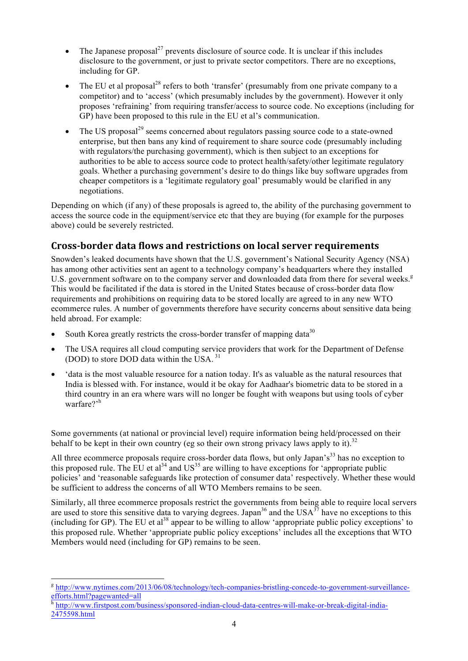- The Japanese proposal $^{27}$  prevents disclosure of source code. It is unclear if this includes disclosure to the government, or just to private sector competitors. There are no exceptions, including for GP.
- The EU et al proposal<sup>28</sup> refers to both 'transfer' (presumably from one private company to a competitor) and to 'access' (which presumably includes by the government). However it only proposes 'refraining' from requiring transfer/access to source code. No exceptions (including for GP) have been proposed to this rule in the EU et al's communication.
- The US proposal<sup>29</sup> seems concerned about regulators passing source code to a state-owned enterprise, but then bans any kind of requirement to share source code (presumably including with regulators/the purchasing government), which is then subject to an exceptions for authorities to be able to access source code to protect health/safety/other legitimate regulatory goals. Whether a purchasing government's desire to do things like buy software upgrades from cheaper competitors is a 'legitimate regulatory goal' presumably would be clarified in any negotiations.

Depending on which (if any) of these proposals is agreed to, the ability of the purchasing government to access the source code in the equipment/service etc that they are buying (for example for the purposes above) could be severely restricted.

#### **Cross-border data flows and restrictions on local server requirements**

Snowden's leaked documents have shown that the U.S. government's National Security Agency (NSA) has among other activities sent an agent to a technology company's headquarters where they installed U.S. government software on to the company server and downloaded data from there for several weeks.<sup>g</sup> This would be facilitated if the data is stored in the United States because of cross-border data flow requirements and prohibitions on requiring data to be stored locally are agreed to in any new WTO ecommerce rules. A number of governments therefore have security concerns about sensitive data being held abroad. For example:

- South Korea greatly restricts the cross-border transfer of mapping data<sup>30</sup>
- The USA requires all cloud computing service providers that work for the Department of Defense (DOD) to store DOD data within the USA. <sup>31</sup>
- 'data is the most valuable resource for a nation today. It's as valuable as the natural resources that India is blessed with. For instance, would it be okay for Aadhaar's biometric data to be stored in a third country in an era where wars will no longer be fought with weapons but using tools of cyber warfare?'<sup>h</sup>

Some governments (at national or provincial level) require information being held/processed on their behalf to be kept in their own country (eg so their own strong privacy laws apply to it).<sup>32</sup>

All three ecommerce proposals require cross-border data flows, but only Japan's<sup>33</sup> has no exception to this proposed rule. The EU et al<sup>34</sup> and  $US^{35}$  are willing to have exceptions for 'appropriate public policies' and 'reasonable safeguards like protection of consumer data' respectively. Whether these would be sufficient to address the concerns of all WTO Members remains to be seen.

Similarly, all three ecommerce proposals restrict the governments from being able to require local servers are used to store this sensitive data to varying degrees. Japan<sup>36</sup> and the USA<sup>37</sup> have no exceptions to this (including for GP). The EU et al<sup>38</sup> appear to be willing to allow 'appropriate public policy exceptions' to this proposed rule. Whether 'appropriate public policy exceptions' includes all the exceptions that WTO Members would need (including for GP) remains to be seen.

<sup>&</sup>lt;sup>g</sup> http://www.nytimes.com/2013/06/08/technology/tech-companies-bristling-concede-to-government-surveillanceefforts.html?pagewanted=all

h http://www.firstpost.com/business/sponsored-indian-cloud-data-centres-will-make-or-break-digital-india-2475598.html